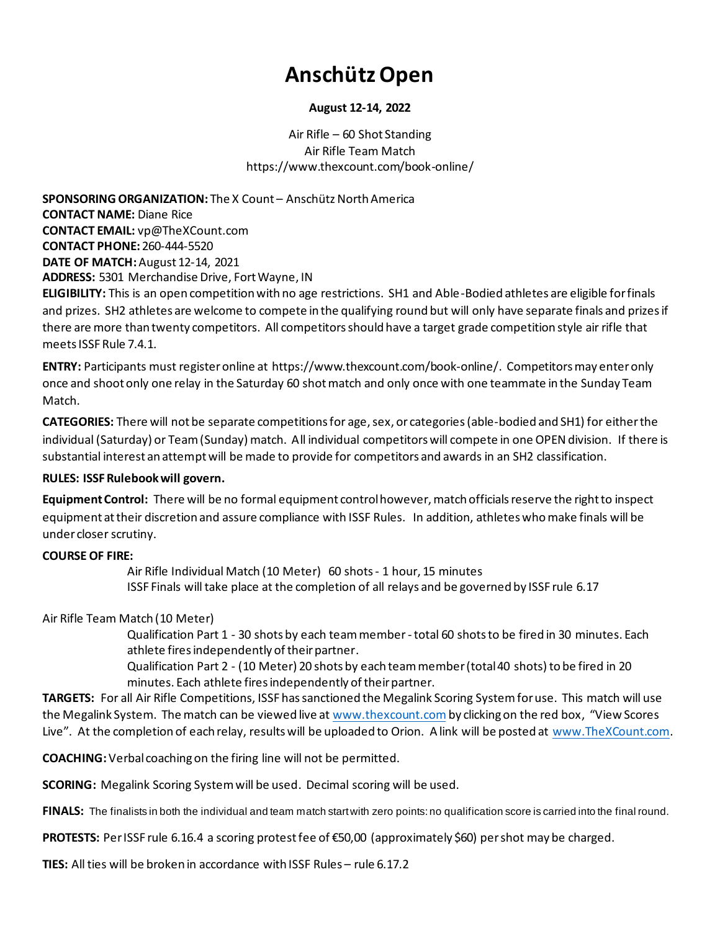# **AnschützOpen**

## **August 12-14, 2022**

Air Rifle – 60 Shot Standing Air Rifle Team Match https://www.thexcount.com/book-online/

**SPONSORING ORGANIZATION:** The X Count – Anschütz North America **CONTACT NAME:** Diane Rice **CONTACT EMAIL:** vp@TheXCount.com **CONTACT PHONE:** 260-444-5520 **DATE OF MATCH:**August 12-14, 2021 **ADDRESS:** 5301 Merchandise Drive, Fort Wayne, IN **ELIGIBILITY:** This is an open competition with no age restrictions. SH1 and Able-Bodied athletes are eligible for finals

and prizes. SH2 athletes are welcome to compete in the qualifying round but will only have separate finals and prizes if there are more than twenty competitors. All competitors should have a target grade competition style air rifle that meets ISSF Rule 7.4.1.

**ENTRY:** Participants must register online at https://www.thexcount.com/book-online/. Competitors may enter only once and shoot only one relay in the Saturday 60 shot match and only once with one teammate in the Sunday Team Match.

**CATEGORIES:** There will not be separate competitions for age, sex, or categories(able-bodied and SH1) for either the individual (Saturday) or Team (Sunday) match. All individual competitors will compete in one OPEN division. If there is substantial interest an attempt will be made to provide for competitors and awards in an SH2 classification.

## **RULES: ISSF Rulebook will govern.**

**Equipment Control:** There will be no formal equipment control however, match officials reserve the right to inspect equipment at their discretion and assure compliance with ISSF Rules. In addition, athletes who make finals will be under closer scrutiny.

#### **COURSE OF FIRE:**

Air Rifle Individual Match (10 Meter) 60 shots - 1 hour, 15 minutes ISSF Finals will take place at the completion of all relays and be governed by ISSF rule 6.17

#### Air Rifle Team Match (10 Meter)

Qualification Part 1 - 30 shots by each team member-total 60 shots to be fired in 30 minutes. Each athlete fires independently of their partner.

Qualification Part 2 - (10 Meter) 20 shots by each team member (total 40 shots) to be fired in 20 minutes. Each athlete fires independently of their partner.

**TARGETS:** For all Air Rifle Competitions, ISSF has sanctioned the Megalink Scoring System for use. This match will use the Megalink System. The match can be viewed live at www.thexcount.comby clicking on the red box, "View Scores Live". At the completion of each relay, results will be uploaded to Orion. A link will be posted at www.TheXCount.com.

**COACHING:**Verbal coaching on the firing line will not be permitted.

**SCORING:** Megalink Scoring System will be used. Decimal scoring will be used.

**FINALS:** The finalists in both the individual and team match start with zero points: no qualification score is carried into the final round.

**PROTESTS:** Per ISSF rule 6.16.4 a scoring protest fee of €50,00 (approximately \$60) per shot may be charged.

**TIES:** All ties will be broken in accordance with ISSF Rules – rule 6.17.2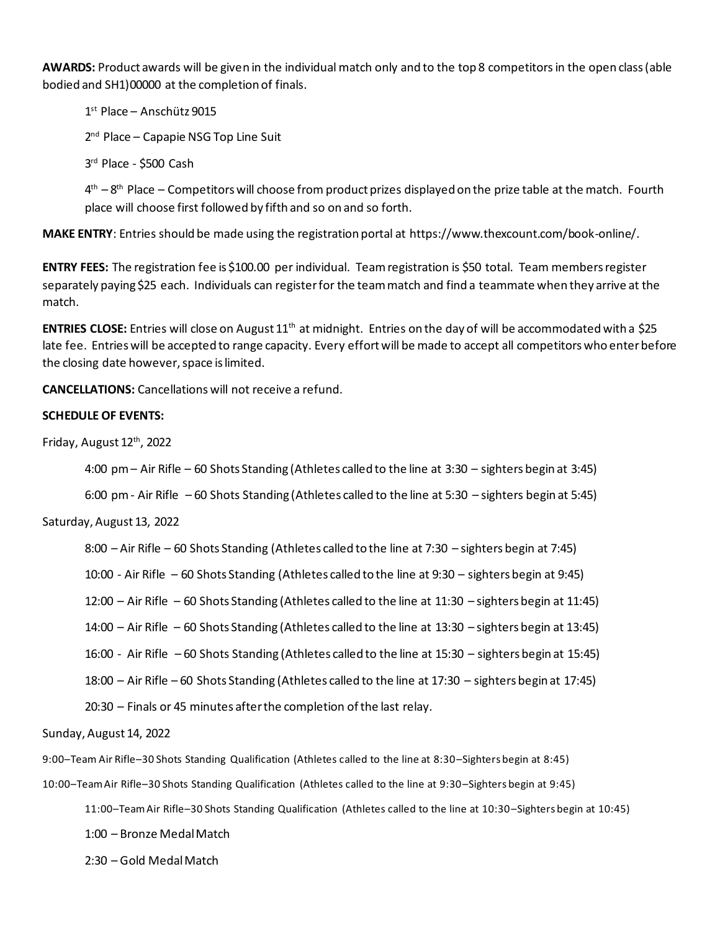**AWARDS:** Product awards will be given in the individual match only and to the top 8 competitorsin the open class (able bodied and SH1)00000 at the completion of finals.

1 st Place – Anschütz 9015

2<sup>nd</sup> Place – Capapie NSG Top Line Suit

3 rd Place - \$500 Cash

4<sup>th</sup> – 8<sup>th</sup> Place – Competitors will choose from product prizes displayed on the prize table at the match. Fourth place will choose first followed by fifth and so on and so forth.

**MAKE ENTRY**: Entries should be made using the registration portal at https://www.thexcount.com/book-online/.

**ENTRY FEES:** The registration fee is \$100.00 per individual. Team registration is \$50 total. Team members register separately paying \$25 each. Individuals can register for the team match and find a teammate when they arrive at the match.

**ENTRIES CLOSE:** Entries will close on August 11<sup>th</sup> at midnight. Entries on the day of will be accommodated with a \$25 late fee. Entries will be accepted to range capacity. Every effort will be made to accept all competitors who enter before the closing date however, space is limited.

**CANCELLATIONS:** Cancellations will not receive a refund.

## **SCHEDULE OF EVENTS:**

Friday, August 12<sup>th</sup>, 2022

4:00 pm – Air Rifle – 60 Shots Standing (Athletes called to the line at 3:30 – sighters begin at 3:45)

6:00 pm - Air Rifle – 60 Shots Standing (Athletes called to the line at 5:30 – sighters begin at 5:45)

Saturday, August 13, 2022

8:00 – Air Rifle – 60 Shots Standing (Athletes called to the line at 7:30 – sighters begin at 7:45)

10:00 - Air Rifle – 60 Shots Standing (Athletes called to the line at 9:30 – sighters begin at 9:45)

12:00 – Air Rifle – 60 Shots Standing (Athletes called to the line at 11:30 – sighters begin at 11:45)

14:00 – Air Rifle – 60 Shots Standing (Athletes called to the line at 13:30 – sighters begin at 13:45)

16:00 - Air Rifle – 60 Shots Standing (Athletes called to the line at 15:30 – sighters begin at 15:45)

18:00 – Air Rifle – 60 Shots Standing (Athletes called to the line at 17:30 – sighters begin at 17:45)

20:30 – Finals or 45 minutes after the completion of the last relay.

Sunday, August 14, 2022

9:00–Team Air Rifle–30 Shots Standing Qualification (Athletes called to the line at 8:30–Sighters begin at 8:45)

10:00–Team Air Rifle–30 Shots Standing Qualification (Athletes called to the line at 9:30–Sighters begin at 9:45)

11:00–Team Air Rifle–30 Shots Standing Qualification (Athletes called to the line at 10:30–Sighters begin at 10:45)

1:00 – Bronze Medal Match

2:30 – Gold Medal Match